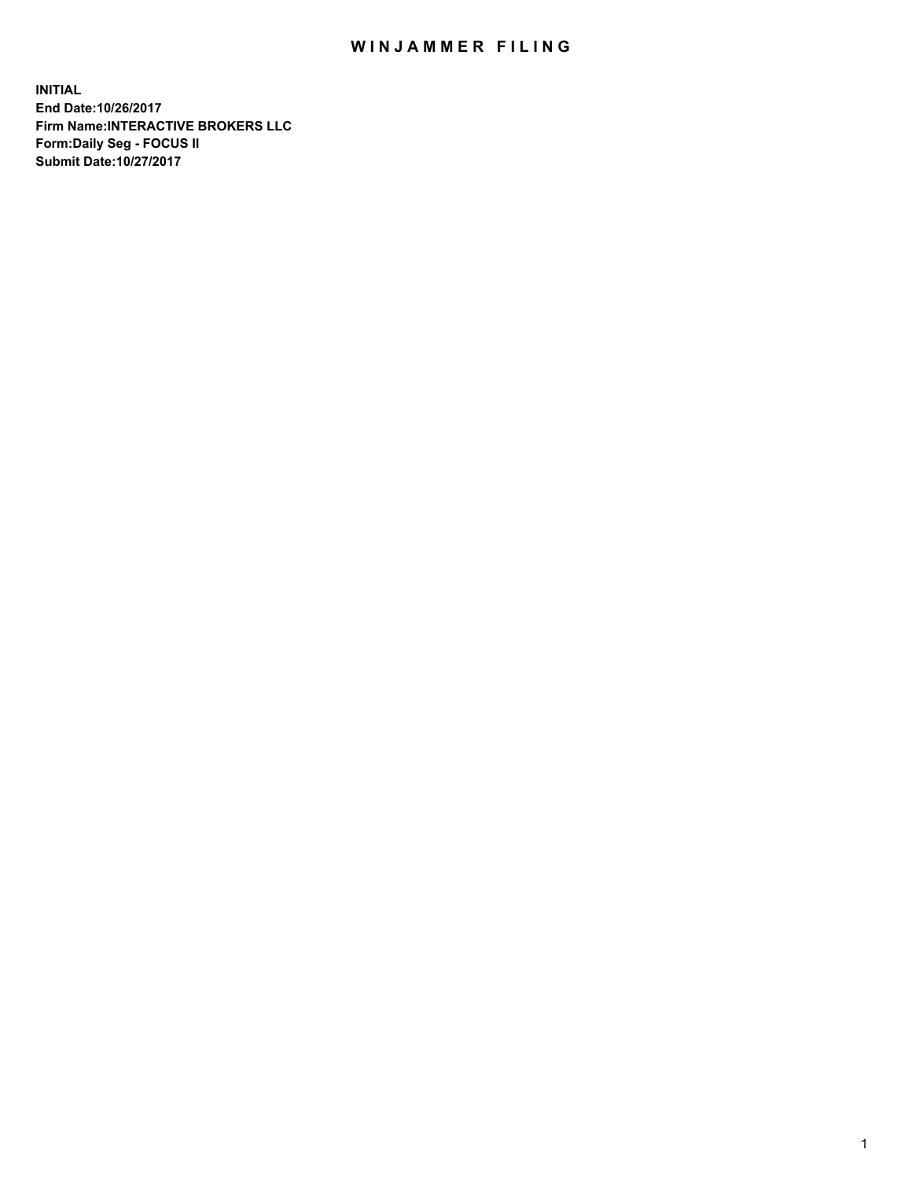## WIN JAMMER FILING

**INITIAL End Date:10/26/2017 Firm Name:INTERACTIVE BROKERS LLC Form:Daily Seg - FOCUS II Submit Date:10/27/2017**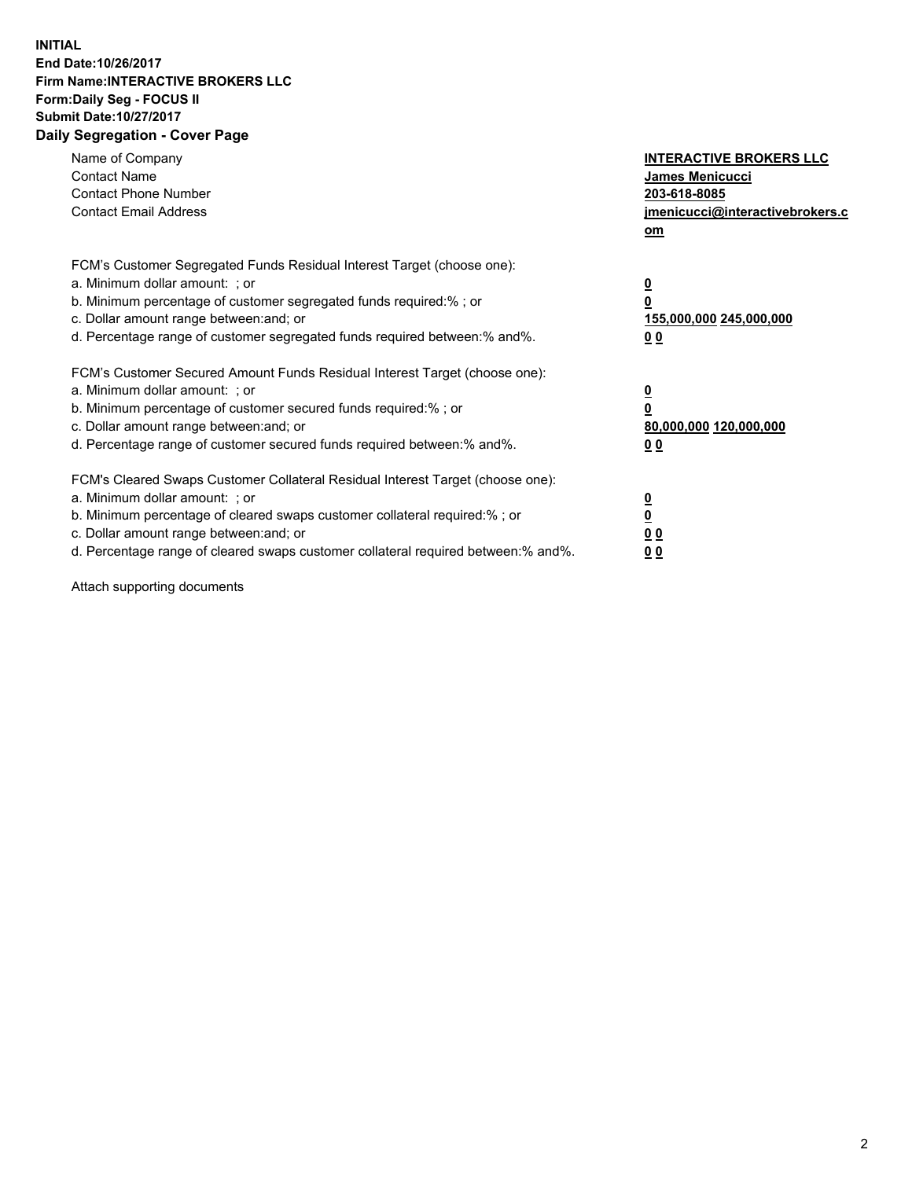## **INITIAL End Date:10/26/2017 Firm Name:INTERACTIVE BROKERS LLC Form:Daily Seg - FOCUS II Submit Date:10/27/2017 Daily Segregation - Cover Page**

| Name of Company<br><b>Contact Name</b><br><b>Contact Phone Number</b><br><b>Contact Email Address</b>                                                                                                                                                                                                                          | <b>INTERACTIVE BROKERS LLC</b><br><b>James Menicucci</b><br>203-618-8085<br>jmenicucci@interactivebrokers.c<br>om |
|--------------------------------------------------------------------------------------------------------------------------------------------------------------------------------------------------------------------------------------------------------------------------------------------------------------------------------|-------------------------------------------------------------------------------------------------------------------|
| FCM's Customer Segregated Funds Residual Interest Target (choose one):<br>a. Minimum dollar amount: ; or<br>b. Minimum percentage of customer segregated funds required:%; or<br>c. Dollar amount range between: and; or<br>d. Percentage range of customer segregated funds required between:% and%.                          | $\overline{\mathbf{0}}$<br>0<br>155,000,000 245,000,000<br>00                                                     |
| FCM's Customer Secured Amount Funds Residual Interest Target (choose one):<br>a. Minimum dollar amount: ; or<br>b. Minimum percentage of customer secured funds required:%; or<br>c. Dollar amount range between: and; or<br>d. Percentage range of customer secured funds required between: % and %.                          | $\overline{\mathbf{0}}$<br>0<br>80,000,000 120,000,000<br>0 <sub>0</sub>                                          |
| FCM's Cleared Swaps Customer Collateral Residual Interest Target (choose one):<br>a. Minimum dollar amount: ; or<br>b. Minimum percentage of cleared swaps customer collateral required:% ; or<br>c. Dollar amount range between: and; or<br>d. Percentage range of cleared swaps customer collateral required between:% and%. | $\overline{\mathbf{0}}$<br>$\overline{\mathbf{0}}$<br>0 <sub>0</sub><br><u>00</u>                                 |

Attach supporting documents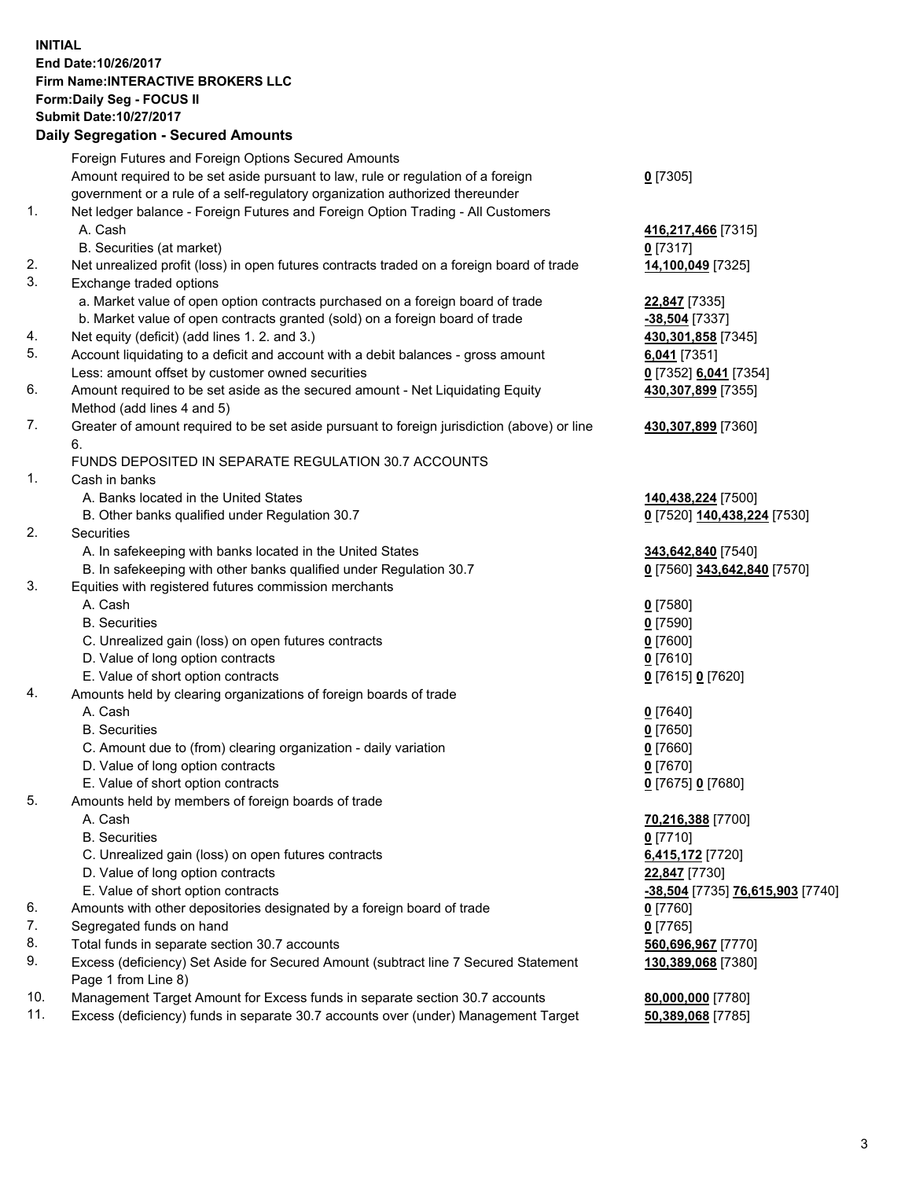## **INITIAL End Date:10/26/2017 Firm Name:INTERACTIVE BROKERS LLC Form:Daily Seg - FOCUS II Submit Date:10/27/2017 Daily Segregation - Secured Amounts**

|     | Daily Segregation - Secured Amounts                                                                        |                                  |
|-----|------------------------------------------------------------------------------------------------------------|----------------------------------|
|     | Foreign Futures and Foreign Options Secured Amounts                                                        |                                  |
|     | Amount required to be set aside pursuant to law, rule or regulation of a foreign                           | $0$ [7305]                       |
|     | government or a rule of a self-regulatory organization authorized thereunder                               |                                  |
| 1.  | Net ledger balance - Foreign Futures and Foreign Option Trading - All Customers                            |                                  |
|     | A. Cash                                                                                                    | 416,217,466 [7315]               |
|     | B. Securities (at market)                                                                                  | $0$ [7317]                       |
| 2.  | Net unrealized profit (loss) in open futures contracts traded on a foreign board of trade                  | 14,100,049 [7325]                |
| 3.  | Exchange traded options                                                                                    |                                  |
|     | a. Market value of open option contracts purchased on a foreign board of trade                             | 22,847 [7335]                    |
|     | b. Market value of open contracts granted (sold) on a foreign board of trade                               | -38,504 [7337]                   |
| 4.  | Net equity (deficit) (add lines 1. 2. and 3.)                                                              | 430,301,858 [7345]               |
| 5.  | Account liquidating to a deficit and account with a debit balances - gross amount                          | $6,041$ [7351]                   |
|     | Less: amount offset by customer owned securities                                                           | 0 [7352] 6,041 [7354]            |
| 6.  | Amount required to be set aside as the secured amount - Net Liquidating Equity                             | 430,307,899 [7355]               |
|     | Method (add lines 4 and 5)                                                                                 |                                  |
| 7.  | Greater of amount required to be set aside pursuant to foreign jurisdiction (above) or line                | 430,307,899 [7360]               |
|     | 6.                                                                                                         |                                  |
|     | FUNDS DEPOSITED IN SEPARATE REGULATION 30.7 ACCOUNTS                                                       |                                  |
| 1.  | Cash in banks                                                                                              |                                  |
|     | A. Banks located in the United States                                                                      | 140,438,224 [7500]               |
|     | B. Other banks qualified under Regulation 30.7                                                             | 0 [7520] 140,438,224 [7530]      |
| 2.  | <b>Securities</b>                                                                                          |                                  |
|     | A. In safekeeping with banks located in the United States                                                  | 343,642,840 [7540]               |
|     | B. In safekeeping with other banks qualified under Regulation 30.7                                         | 0 [7560] 343,642,840 [7570]      |
| 3.  | Equities with registered futures commission merchants                                                      |                                  |
|     | A. Cash                                                                                                    | $0$ [7580]                       |
|     | <b>B.</b> Securities                                                                                       | $0$ [7590]                       |
|     | C. Unrealized gain (loss) on open futures contracts                                                        | $0$ [7600]                       |
|     | D. Value of long option contracts                                                                          | $0$ [7610]                       |
|     | E. Value of short option contracts                                                                         | 0 [7615] 0 [7620]                |
| 4.  | Amounts held by clearing organizations of foreign boards of trade                                          |                                  |
|     | A. Cash                                                                                                    | $0$ [7640]                       |
|     | <b>B.</b> Securities                                                                                       | $0$ [7650]                       |
|     | C. Amount due to (from) clearing organization - daily variation                                            | $0$ [7660]                       |
|     | D. Value of long option contracts                                                                          | $0$ [7670]                       |
|     | E. Value of short option contracts                                                                         | 0 [7675] 0 [7680]                |
| 5.  | Amounts held by members of foreign boards of trade                                                         |                                  |
|     | A. Cash                                                                                                    | 70,216,388 [7700]                |
|     | <b>B.</b> Securities                                                                                       | $0$ [7710]                       |
|     | C. Unrealized gain (loss) on open futures contracts                                                        | 6,415,172 [7720]                 |
|     | D. Value of long option contracts                                                                          | 22,847 [7730]                    |
|     | E. Value of short option contracts                                                                         | -38,504 [7735] 76,615,903 [7740] |
| 6.  | Amounts with other depositories designated by a foreign board of trade                                     | 0 [7760]                         |
| 7.  | Segregated funds on hand                                                                                   | $0$ [7765]                       |
| 8.  | Total funds in separate section 30.7 accounts                                                              | 560,696,967 [7770]               |
| 9.  | Excess (deficiency) Set Aside for Secured Amount (subtract line 7 Secured Statement<br>Page 1 from Line 8) | 130,389,068 [7380]               |
| 10. | Management Target Amount for Excess funds in separate section 30.7 accounts                                | 80,000,000 [7780]                |
| 11. | Excess (deficiency) funds in separate 30.7 accounts over (under) Management Target                         | 50,389,068 [7785]                |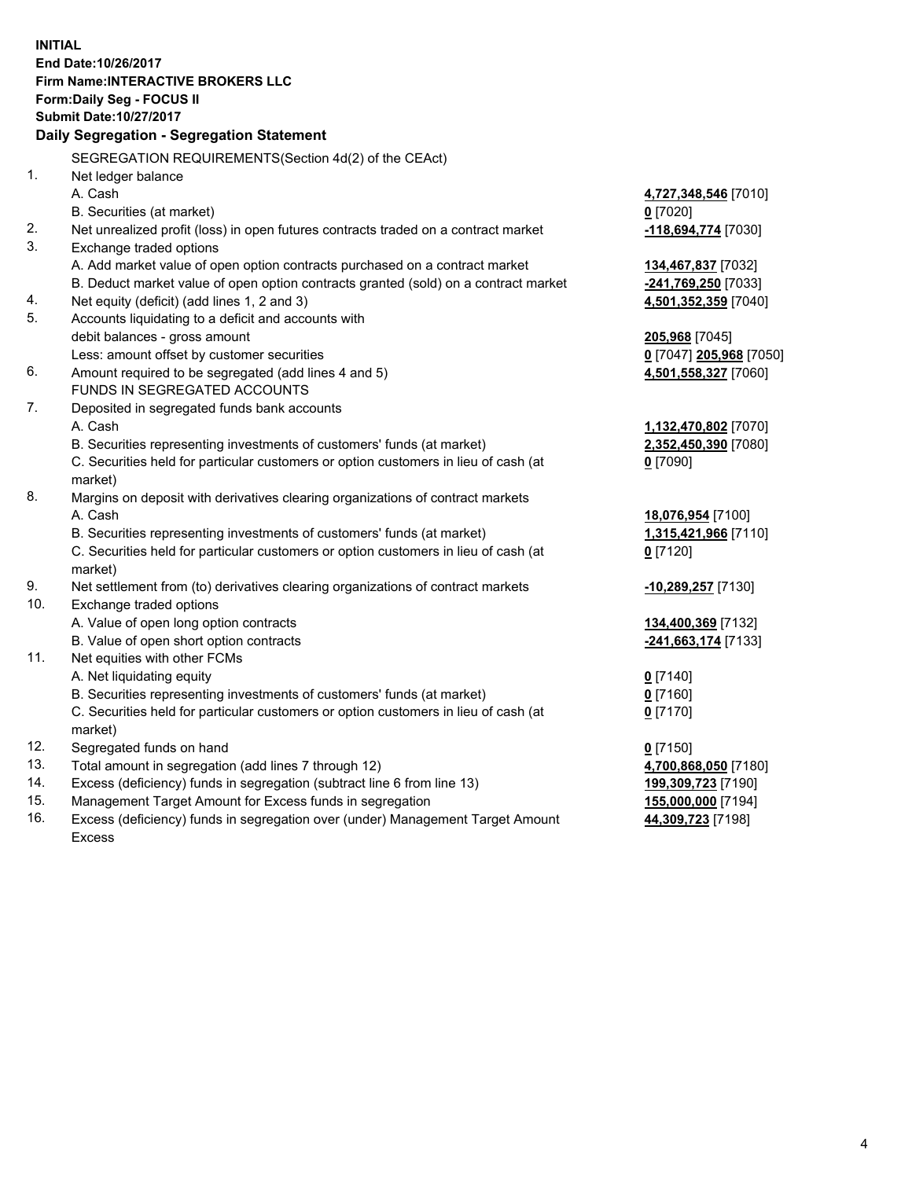**INITIAL End Date:10/26/2017 Firm Name:INTERACTIVE BROKERS LLC Form:Daily Seg - FOCUS II Submit Date:10/27/2017 Daily Segregation - Segregation Statement** SEGREGATION REQUIREMENTS(Section 4d(2) of the CEAct) 1. Net ledger balance A. Cash **4,727,348,546** [7010] B. Securities (at market) **0** [7020] 2. Net unrealized profit (loss) in open futures contracts traded on a contract market **-118,694,774** [7030] 3. Exchange traded options A. Add market value of open option contracts purchased on a contract market **134,467,837** [7032] B. Deduct market value of open option contracts granted (sold) on a contract market **-241,769,250** [7033] 4. Net equity (deficit) (add lines 1, 2 and 3) **4,501,352,359** [7040] 5. Accounts liquidating to a deficit and accounts with debit balances - gross amount **205,968** [7045] Less: amount offset by customer securities **0** [7047] **205,968** [7050] 6. Amount required to be segregated (add lines 4 and 5) **4,501,558,327** [7060] FUNDS IN SEGREGATED ACCOUNTS 7. Deposited in segregated funds bank accounts A. Cash **1,132,470,802** [7070] B. Securities representing investments of customers' funds (at market) **2,352,450,390** [7080] C. Securities held for particular customers or option customers in lieu of cash (at market) **0** [7090] 8. Margins on deposit with derivatives clearing organizations of contract markets A. Cash **18,076,954** [7100] B. Securities representing investments of customers' funds (at market) **1,315,421,966** [7110] C. Securities held for particular customers or option customers in lieu of cash (at market) **0** [7120] 9. Net settlement from (to) derivatives clearing organizations of contract markets **-10,289,257** [7130] 10. Exchange traded options A. Value of open long option contracts **134,400,369** [7132] B. Value of open short option contracts **-241,663,174** [7133] 11. Net equities with other FCMs A. Net liquidating equity **0** [7140] B. Securities representing investments of customers' funds (at market) **0** [7160] C. Securities held for particular customers or option customers in lieu of cash (at market) **0** [7170] 12. Segregated funds on hand **0** [7150] 13. Total amount in segregation (add lines 7 through 12) **4,700,868,050** [7180] 14. Excess (deficiency) funds in segregation (subtract line 6 from line 13) **199,309,723** [7190] 15. Management Target Amount for Excess funds in segregation **155,000,000** [7194] **44,309,723** [7198]

16. Excess (deficiency) funds in segregation over (under) Management Target Amount Excess